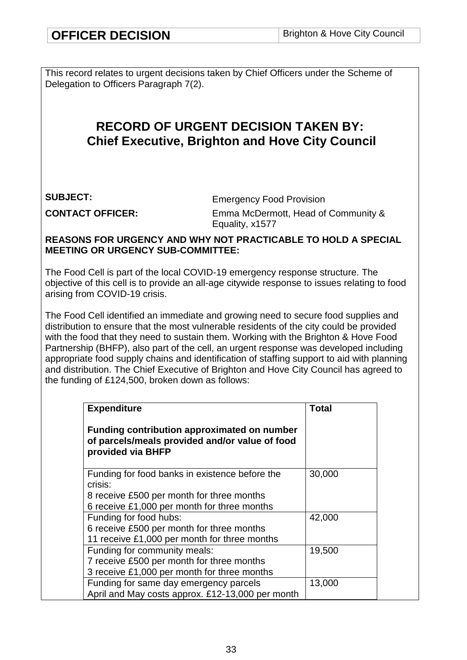This record relates to urgent decisions taken by Chief Officers under the Scheme of Delegation to Officers Paragraph 7(2).

# **RECORD OF URGENT DECISION TAKEN BY: Chief Executive, Brighton and Hove City Council**

**SUBJECT:** Emergency Food Provision **CONTACT OFFICER:** Emma McDermott, Head of Community & Equality, x1577

#### **REASONS FOR URGENCY AND WHY NOT PRACTICABLE TO HOLD A SPECIAL MEETING OR URGENCY SUB-COMMITTEE:**

The Food Cell is part of the local COVID-19 emergency response structure. The objective of this cell is to provide an all-age citywide response to issues relating to food arising from COVID-19 crisis.

The Food Cell identified an immediate and growing need to secure food supplies and distribution to ensure that the most vulnerable residents of the city could be provided with the food that they need to sustain them. Working with the Brighton & Hove Food Partnership (BHFP), also part of the cell, an urgent response was developed including appropriate food supply chains and identification of staffing support to aid with planning and distribution. The Chief Executive of Brighton and Hove City Council has agreed to the funding of £124,500, broken down as follows:

| <b>Expenditure</b>                                                                                                        | Total  |  |
|---------------------------------------------------------------------------------------------------------------------------|--------|--|
| <b>Funding contribution approximated on number</b><br>of parcels/meals provided and/or value of food<br>provided via BHFP |        |  |
| Funding for food banks in existence before the                                                                            | 30,000 |  |
| crisis:                                                                                                                   |        |  |
| 8 receive £500 per month for three months<br>6 receive £1,000 per month for three months                                  |        |  |
| Funding for food hubs:                                                                                                    | 42,000 |  |
| 6 receive £500 per month for three months                                                                                 |        |  |
| 11 receive £1,000 per month for three months                                                                              |        |  |
| Funding for community meals:                                                                                              | 19,500 |  |
| 7 receive £500 per month for three months                                                                                 |        |  |
| 3 receive £1,000 per month for three months                                                                               |        |  |
| Funding for same day emergency parcels                                                                                    | 13,000 |  |
| April and May costs approx. £12-13,000 per month                                                                          |        |  |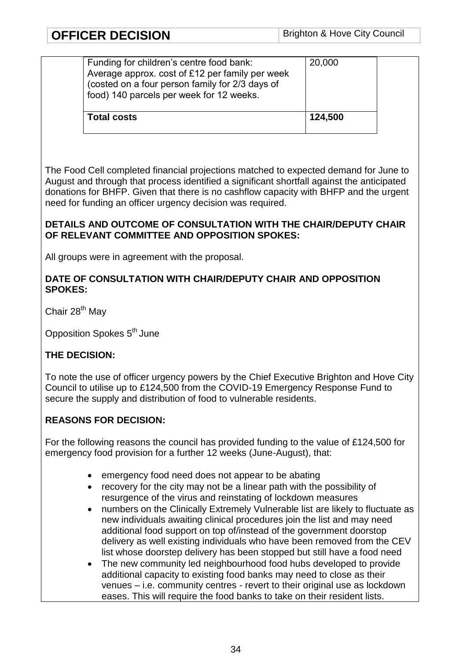| <b>Total costs</b>                                                                                                                                                                         | 124,500 |
|--------------------------------------------------------------------------------------------------------------------------------------------------------------------------------------------|---------|
| Funding for children's centre food bank:<br>Average approx. cost of £12 per family per week<br>(costed on a four person family for 2/3 days of<br>food) 140 parcels per week for 12 weeks. | 20,000  |

The Food Cell completed financial projections matched to expected demand for June to August and through that process identified a significant shortfall against the anticipated donations for BHFP. Given that there is no cashflow capacity with BHFP and the urgent need for funding an officer urgency decision was required.

# **DETAILS AND OUTCOME OF CONSULTATION WITH THE CHAIR/DEPUTY CHAIR OF RELEVANT COMMITTEE AND OPPOSITION SPOKES:**

All groups were in agreement with the proposal.

#### **DATE OF CONSULTATION WITH CHAIR/DEPUTY CHAIR AND OPPOSITION SPOKES:**

Chair 28<sup>th</sup> May

Opposition Spokes 5<sup>th</sup> June

# **THE DECISION:**

To note the use of officer urgency powers by the Chief Executive Brighton and Hove City Council to utilise up to £124,500 from the COVID-19 Emergency Response Fund to secure the supply and distribution of food to vulnerable residents.

# **REASONS FOR DECISION:**

For the following reasons the council has provided funding to the value of £124,500 for emergency food provision for a further 12 weeks (June-August), that:

- emergency food need does not appear to be abating
- recovery for the city may not be a linear path with the possibility of resurgence of the virus and reinstating of lockdown measures
- numbers on the Clinically Extremely Vulnerable list are likely to fluctuate as new individuals awaiting clinical procedures join the list and may need additional food support on top of/instead of the government doorstop delivery as well existing individuals who have been removed from the CEV list whose doorstep delivery has been stopped but still have a food need
- The new community led neighbourhood food hubs developed to provide additional capacity to existing food banks may need to close as their venues – i.e. community centres - revert to their original use as lockdown eases. This will require the food banks to take on their resident lists.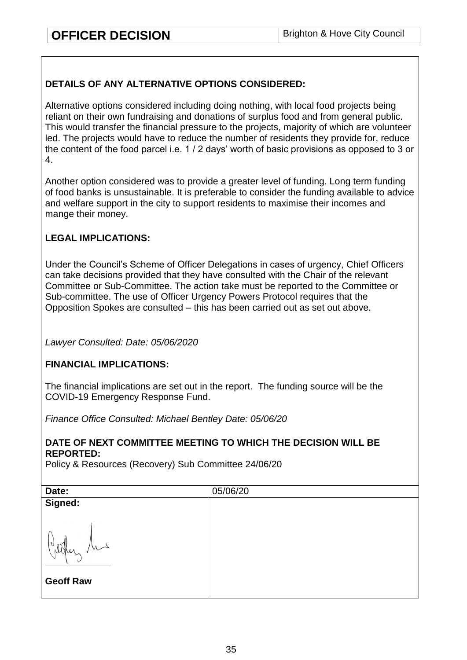# **DETAILS OF ANY ALTERNATIVE OPTIONS CONSIDERED:**

Alternative options considered including doing nothing, with local food projects being reliant on their own fundraising and donations of surplus food and from general public. This would transfer the financial pressure to the projects, majority of which are volunteer led. The projects would have to reduce the number of residents they provide for, reduce the content of the food parcel i.e. 1 / 2 days' worth of basic provisions as opposed to 3 or 4.

Another option considered was to provide a greater level of funding. Long term funding of food banks is unsustainable. It is preferable to consider the funding available to advice and welfare support in the city to support residents to maximise their incomes and mange their money.

# **LEGAL IMPLICATIONS:**

Under the Council's Scheme of Officer Delegations in cases of urgency, Chief Officers can take decisions provided that they have consulted with the Chair of the relevant Committee or Sub-Committee. The action take must be reported to the Committee or Sub-committee. The use of Officer Urgency Powers Protocol requires that the Opposition Spokes are consulted – this has been carried out as set out above.

*Lawyer Consulted: Date: 05/06/2020*

# **FINANCIAL IMPLICATIONS:**

The financial implications are set out in the report. The funding source will be the COVID-19 Emergency Response Fund.

*Finance Office Consulted: Michael Bentley Date: 05/06/20*

#### **DATE OF NEXT COMMITTEE MEETING TO WHICH THE DECISION WILL BE REPORTED:**

Policy & Resources (Recovery) Sub Committee 24/06/20

| Date:            | 05/06/20 |
|------------------|----------|
| Signed:          |          |
| V<br>Noter       |          |
| <b>Geoff Raw</b> |          |
|                  |          |